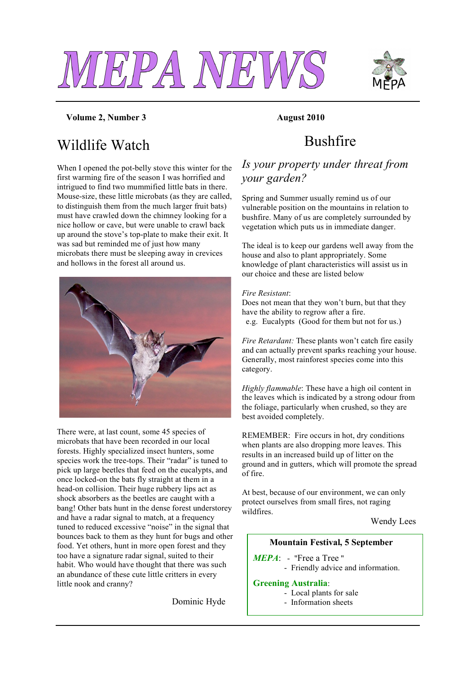



#### **Volume 2, Number 3 August 2010**

## Wildlife Watch

When I opened the pot-belly stove this winter for the first warming fire of the season I was horrified and intrigued to find two mummified little bats in there. Mouse-size, these little microbats (as they are called, to distinguish them from the much larger fruit bats) must have crawled down the chimney looking for a nice hollow or cave, but were unable to crawl back up around the stove's top-plate to make their exit. It was sad but reminded me of just how many microbats there must be sleeping away in crevices and hollows in the forest all around us.



There were, at last count, some 45 species of microbats that have been recorded in our local forests. Highly specialized insect hunters, some species work the tree-tops. Their "radar" is tuned to pick up large beetles that feed on the eucalypts, and once locked-on the bats fly straight at them in a head-on collision. Their huge rubbery lips act as shock absorbers as the beetles are caught with a bang! Other bats hunt in the dense forest understorey and have a radar signal to match, at a frequency tuned to reduced excessive "noise" in the signal that bounces back to them as they hunt for bugs and other food. Yet others, hunt in more open forest and they too have a signature radar signal, suited to their habit. Who would have thought that there was such an abundance of these cute little critters in every little nook and cranny?

Dominic Hyde

## Bushfire

### *Is your property under threat from your garden?*

Spring and Summer usually remind us of our vulnerable position on the mountains in relation to bushfire. Many of us are completely surrounded by vegetation which puts us in immediate danger.

The ideal is to keep our gardens well away from the house and also to plant appropriately. Some knowledge of plant characteristics will assist us in our choice and these are listed below

#### *Fire Resistant*:

Does not mean that they won't burn, but that they have the ability to regrow after a fire. e.g. Eucalypts (Good for them but not for us.)

*Fire Retardant:* These plants won't catch fire easily and can actually prevent sparks reaching your house. Generally, most rainforest species come into this category.

*Highly flammable*: These have a high oil content in the leaves which is indicated by a strong odour from the foliage, particularly when crushed, so they are best avoided completely.

REMEMBER: Fire occurs in hot, dry conditions when plants are also dropping more leaves. This results in an increased build up of litter on the ground and in gutters, which will promote the spread of fire.

At best, because of our environment, we can only protect ourselves from small fires, not raging wildfires.

Wendy Lees

#### **Mountain Festival, 5 September**

- *MEPA*: "Free a Tree "
	- Friendly advice and information.

#### **Greening Australia**:

- Local plants for sale
- Information sheets